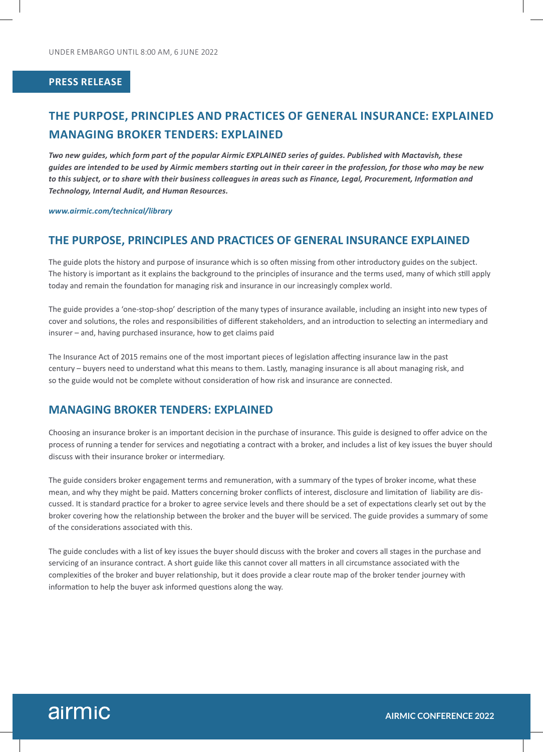### **PRESS RELEASE**

# **THE PURPOSE, PRINCIPLES AND PRACTICES OF GENERAL INSURANCE: EXPLAINED MANAGING BROKER TENDERS: EXPLAINED**

*Two new guides, which form part of the popular Airmic EXPLAINED series of guides. Published with Mactavish, these guides are intended to be used by Airmic members starting out in their career in the profession, for those who may be new to this subject, or to share with their business colleagues in areas such as Finance, Legal, Procurement, Information and Technology, Internal Audit, and Human Resources.*

#### *www.airmic.com/technical/library*

### **THE PURPOSE, PRINCIPLES AND PRACTICES OF GENERAL INSURANCE EXPLAINED**

The guide plots the history and purpose of insurance which is so often missing from other introductory guides on the subject. The history is important as it explains the background to the principles of insurance and the terms used, many of which still apply today and remain the foundation for managing risk and insurance in our increasingly complex world.

The guide provides a 'one-stop-shop' description of the many types of insurance available, including an insight into new types of cover and solutions, the roles and responsibilities of different stakeholders, and an introduction to selecting an intermediary and insurer – and, having purchased insurance, how to get claims paid

The Insurance Act of 2015 remains one of the most important pieces of legislation affecting insurance law in the past century – buyers need to understand what this means to them. Lastly, managing insurance is all about managing risk, and so the guide would not be complete without consideration of how risk and insurance are connected.

## **MANAGING BROKER TENDERS: EXPLAINED**

Choosing an insurance broker is an important decision in the purchase of insurance. This guide is designed to offer advice on the process of running a tender for services and negotiating a contract with a broker, and includes a list of key issues the buyer should discuss with their insurance broker or intermediary.

The guide considers broker engagement terms and remuneration, with a summary of the types of broker income, what these mean, and why they might be paid. Matters concerning broker conflicts of interest, disclosure and limitation of liability are discussed. It is standard practice for a broker to agree service levels and there should be a set of expectations clearly set out by the broker covering how the relationship between the broker and the buyer will be serviced. The guide provides a summary of some of the considerations associated with this.

The guide concludes with a list of key issues the buyer should discuss with the broker and covers all stages in the purchase and servicing of an insurance contract. A short guide like this cannot cover all matters in all circumstance associated with the complexities of the broker and buyer relationship, but it does provide a clear route map of the broker tender journey with information to help the buyer ask informed questions along the way.